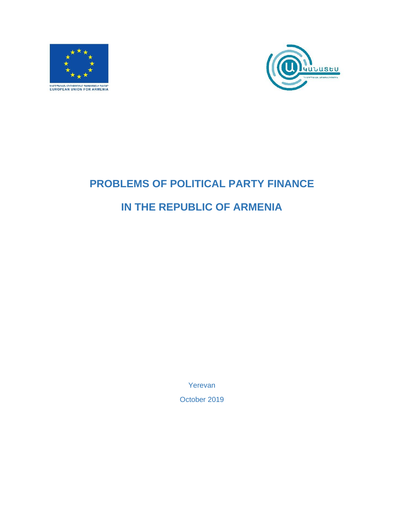<span id="page-0-0"></span>



# <span id="page-0-2"></span><span id="page-0-1"></span>**PROBLEMS OF POLITICAL PARTY FINANCE IN THE REPUBLIC OF ARMENIA**

Yerevan

October 2019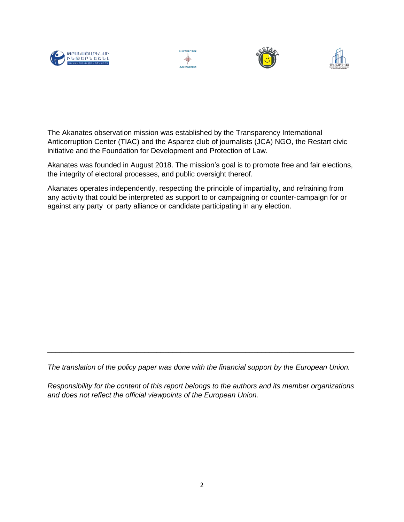







The Akanates observation mission was established by the Transparency International Anticorruption Center (TIAC) and the Asparez club of journalists (JCA) NGO, the Restart civic initiative and the Foundation for Development and Protection of Law.

Akanates was founded in August 2018. The mission's goal is to promote free and fair elections, the integrity of electoral processes, and public oversight thereof.

Akanates operates independently, respecting the principle of impartiality, and refraining from any activity that could be interpreted as support to or campaigning or counter-campaign for or against any party or party alliance or candidate participating in any election.

*The translation of the policy paper was done with the financial support by the European Union.*

\_\_\_\_\_\_\_\_\_\_\_\_\_\_\_\_\_\_\_\_\_\_\_\_\_\_\_\_\_\_\_\_\_\_\_\_\_\_\_\_\_\_\_\_\_\_\_\_\_\_\_\_\_\_\_\_\_\_\_\_\_\_\_\_\_\_\_\_\_\_\_\_\_\_\_\_

*Responsibility for the content of this report belongs to the authors and its member organizations and does not reflect the official viewpoints of the European Union.*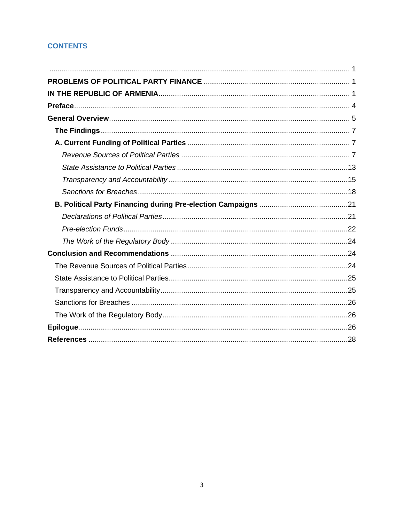# **CONTENTS**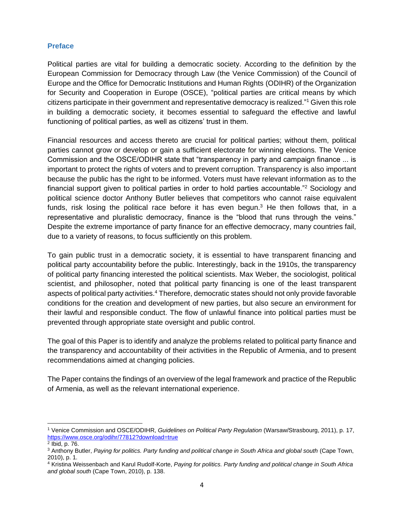#### <span id="page-3-0"></span>**Preface**

Political parties are vital for building a democratic society. According to the definition by the European Commission for Democracy through Law (the Venice Commission) of the Council of Europe and the Office for Democratic Institutions and Human Rights (ODIHR) of the Organization for Security and Cooperation in Europe (OSCE), "political parties are critical means by which citizens participate in their government and representative democracy is realized."<sup>1</sup> Given this role in building a democratic society, it becomes essential to safeguard the effective and lawful functioning of political parties, as well as citizens' trust in them.

Financial resources and access thereto are crucial for political parties; without them, political parties cannot grow or develop or gain a sufficient electorate for winning elections. The Venice Commission and the OSCE/ODIHR state that "transparency in party and campaign finance ... is important to protect the rights of voters and to prevent corruption. Transparency is also important because the public has the right to be informed. Voters must have relevant information as to the financial support given to political parties in order to hold parties accountable."<sup>2</sup> Sociology and political science doctor Anthony Butler believes that competitors who cannot raise equivalent funds, risk losing the political race before it has even begun.<sup>3</sup> He then follows that, in a representative and pluralistic democracy, finance is the "blood that runs through the veins." Despite the extreme importance of party finance for an effective democracy, many countries fail, due to a variety of reasons, to focus sufficiently on this problem.

To gain public trust in a democratic society, it is essential to have transparent financing and political party accountability before the public. Interestingly, back in the 1910s, the transparency of political party financing interested the political scientists. Max Weber, the sociologist, political scientist, and philosopher, noted that political party financing is one of the least transparent aspects of political party activities.<sup>4</sup> Therefore, democratic states should not only provide favorable conditions for the creation and development of new parties, but also secure an environment for their lawful and responsible conduct. The flow of unlawful finance into political parties must be prevented through appropriate state oversight and public control.

The goal of this Paper is to identify and analyze the problems related to political party finance and the transparency and accountability of their activities in the Republic of Armenia, and to present recommendations aimed at changing policies.

The Paper contains the findings of an overview of the legal framework and practice of the Republic of Armenia, as well as the relevant international experience.

<sup>1</sup> Venice Commission and OSCE/ODIHR, *Guidelines on Political Party Regulation* (Warsaw/Strasbourg, 2011), p. 17, <https://www.osce.org/odihr/77812?download=true>

<sup>2</sup> Ibid, p. 76.

<sup>&</sup>lt;sup>3</sup> Anthony Butler, *Paying for politics. Party funding and political change in South Africa and global south (Cape Town,* 2010), p. 1.

<sup>4</sup> Kristina Weissenbach and Karul Rudolf-Korte, *Paying for politics. Party funding and political change in South Africa and global south* (Cape Town, 2010), p. 138.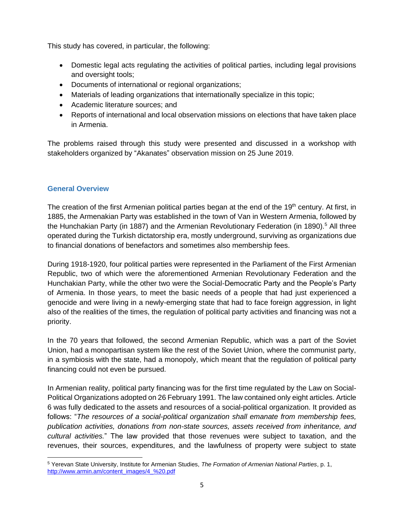This study has covered, in particular, the following:

- Domestic legal acts regulating the activities of political parties, including legal provisions and oversight tools;
- Documents of international or regional organizations;
- Materials of leading organizations that internationally specialize in this topic;
- Academic literature sources; and
- Reports of international and local observation missions on elections that have taken place in Armenia.

The problems raised through this study were presented and discussed in a workshop with stakeholders organized by "Akanates" observation mission on 25 June 2019.

#### <span id="page-4-0"></span>**General Overview**

The creation of the first Armenian political parties began at the end of the 19<sup>th</sup> century. At first, in 1885, the Armenakian Party was established in the town of Van in Western Armenia, followed by the Hunchakian Party (in 1887) and the Armenian Revolutionary Federation (in 1890).<sup>5</sup> All three operated during the Turkish dictatorship era, mostly underground, surviving as organizations due to financial donations of benefactors and sometimes also membership fees.

During 1918-1920, four political parties were represented in the Parliament of the First Armenian Republic, two of which were the aforementioned Armenian Revolutionary Federation and the Hunchakian Party, while the other two were the Social-Democratic Party and the People's Party of Armenia. In those years, to meet the basic needs of a people that had just experienced a genocide and were living in a newly-emerging state that had to face foreign aggression, in light also of the realities of the times, the regulation of political party activities and financing was not a priority.

In the 70 years that followed, the second Armenian Republic, which was a part of the Soviet Union, had a monopartisan system like the rest of the Soviet Union, where the communist party, in a symbiosis with the state, had a monopoly, which meant that the regulation of political party financing could not even be pursued.

In Armenian reality, political party financing was for the first time regulated by the Law on Social-Political Organizations adopted on 26 February 1991. The law contained only eight articles. Article 6 was fully dedicated to the assets and resources of a social-political organization. It provided as follows: "*The resources of a social-political organization shall emanate from membership fees, publication activities, donations from non-state sources, assets received from inheritance, and cultural activities.*" The law provided that those revenues were subject to taxation, and the revenues, their sources, expenditures, and the lawfulness of property were subject to state

<sup>5</sup> Yerevan State University, Institute for Armenian Studies, *The Formation of Armenian National Parties*, p. 1, [http://www.armin.am/content\\_images/4\\_%20.pdf](http://www.armin.am/content_images/4_%20.pdf)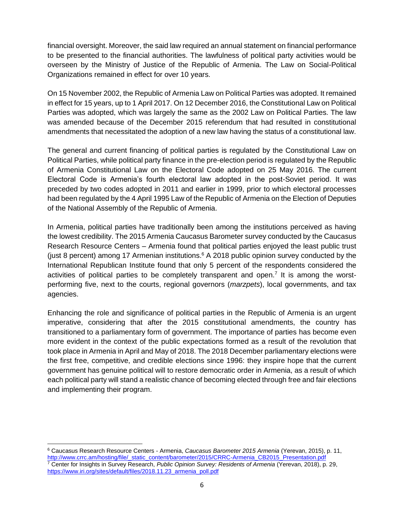financial oversight. Moreover, the said law required an annual statement on financial performance to be presented to the financial authorities. The lawfulness of political party activities would be overseen by the Ministry of Justice of the Republic of Armenia. The Law on Social-Political Organizations remained in effect for over 10 years.

On 15 November 2002, the Republic of Armenia Law on Political Parties was adopted. It remained in effect for 15 years, up to 1 April 2017. On 12 December 2016, the Constitutional Law on Political Parties was adopted, which was largely the same as the 2002 Law on Political Parties. The law was amended because of the December 2015 referendum that had resulted in constitutional amendments that necessitated the adoption of a new law having the status of a constitutional law.

The general and current financing of political parties is regulated by the Constitutional Law on Political Parties, while political party finance in the pre-election period is regulated by the Republic of Armenia Constitutional Law on the Electoral Code adopted on 25 May 2016. The current Electoral Code is Armenia's fourth electoral law adopted in the post-Soviet period. It was preceded by two codes adopted in 2011 and earlier in 1999, prior to which electoral processes had been regulated by the 4 April 1995 Law of the Republic of Armenia on the Election of Deputies of the National Assembly of the Republic of Armenia.

In Armenia, political parties have traditionally been among the institutions perceived as having the lowest credibility. The 2015 Armenia Caucasus Barometer survey conducted by the Caucasus Research Resource Centers – Armenia found that political parties enjoyed the least public trust (just 8 percent) among 17 Armenian institutions.<sup>6</sup> A 2018 public opinion survey conducted by the International Republican Institute found that only 5 percent of the respondents considered the activities of political parties to be completely transparent and open.<sup>7</sup> It is among the worstperforming five, next to the courts, regional governors (*marzpets*), local governments, and tax agencies.

Enhancing the role and significance of political parties in the Republic of Armenia is an urgent imperative, considering that after the 2015 constitutional amendments, the country has transitioned to a parliamentary form of government. The importance of parties has become even more evident in the context of the public expectations formed as a result of the revolution that took place in Armenia in April and May of 2018. The 2018 December parliamentary elections were the first free, competitive, and credible elections since 1996: they inspire hope that the current government has genuine political will to restore democratic order in Armenia, as a result of which each political party will stand a realistic chance of becoming elected through free and fair elections and implementing their program.

<sup>6</sup> Caucasus Research Resource Centers - Armenia, *Caucasus Barometer 2015 Armenia* (Yerevan, 2015), p. 11, [http://www.crrc.am/hosting/file/\\_static\\_content/barometer/2015/CRRC-Armenia\\_CB2015\\_Presentation.pdf](http://www.crrc.am/hosting/file/_static_content/barometer/2015/CRRC-Armenia_CB2015_Presentation.pdf) <sup>7</sup> Center for Insights in Survey Research, *Public Opinion Survey: Residents of Armenia* (Yerevan, 2018), p. 29, [https://www.iri.org/sites/default/files/2018.11.23\\_armenia\\_poll.pdf](https://www.iri.org/sites/default/files/2018.11.23_armenia_poll.pdf)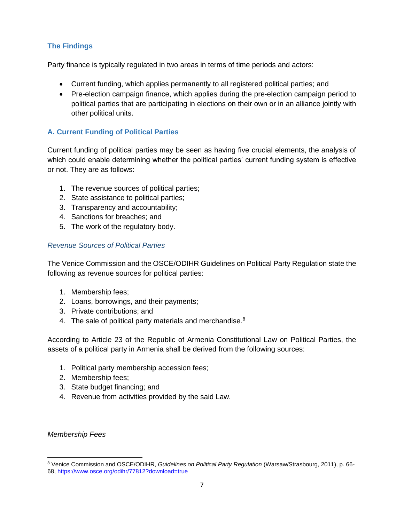## <span id="page-6-0"></span>**The Findings**

Party finance is typically regulated in two areas in terms of time periods and actors:

- Current funding, which applies permanently to all registered political parties; and
- Pre-election campaign finance, which applies during the pre-election campaign period to political parties that are participating in elections on their own or in an alliance jointly with other political units.

## <span id="page-6-1"></span>**A. Current Funding of Political Parties**

Current funding of political parties may be seen as having five crucial elements, the analysis of which could enable determining whether the political parties' current funding system is effective or not. They are as follows:

- 1. The revenue sources of political parties;
- 2. State assistance to political parties;
- 3. Transparency and accountability;
- 4. Sanctions for breaches; and
- 5. The work of the regulatory body.

#### <span id="page-6-2"></span>*Revenue Sources of Political Parties*

The Venice Commission and the OSCE/ODIHR Guidelines on Political Party Regulation state the following as revenue sources for political parties:

- 1. Membership fees;
- 2. Loans, borrowings, and their payments;
- 3. Private contributions; and
- 4. The sale of political party materials and merchandise.<sup>8</sup>

According to Article 23 of the Republic of Armenia Constitutional Law on Political Parties, the assets of a political party in Armenia shall be derived from the following sources:

- 1. Political party membership accession fees;
- 2. Membership fees;
- 3. State budget financing; and
- 4. Revenue from activities provided by the said Law.

#### *Membership Fees*

<sup>8</sup> Venice Commission and OSCE/ODIHR, *Guidelines on Political Party Regulation* (Warsaw/Strasbourg, 2011), p. 66- 68,<https://www.osce.org/odihr/77812?download=true>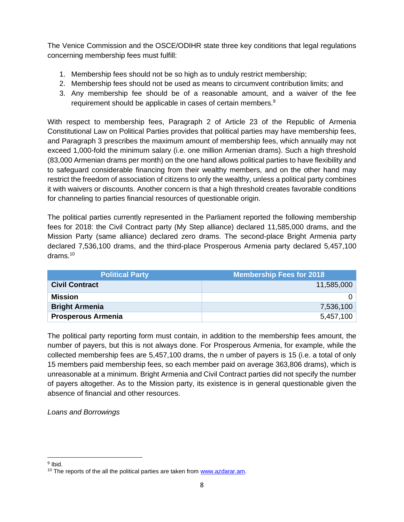The Venice Commission and the OSCE/ODIHR state three key conditions that legal regulations concerning membership fees must fulfill:

- 1. Membership fees should not be so high as to unduly restrict membership;
- 2. Membership fees should not be used as means to circumvent contribution limits; and
- 3. Any membership fee should be of a reasonable amount, and a waiver of the fee requirement should be applicable in cases of certain members.<sup>9</sup>

With respect to membership fees, Paragraph 2 of Article 23 of the Republic of Armenia Constitutional Law on Political Parties provides that political parties may have membership fees, and Paragraph 3 prescribes the maximum amount of membership fees, which annually may not exceed 1,000-fold the minimum salary (i.e. one million Armenian drams). Such a high threshold (83,000 Armenian drams per month) on the one hand allows political parties to have flexibility and to safeguard considerable financing from their wealthy members, and on the other hand may restrict the freedom of association of citizens to only the wealthy, unless a political party combines it with waivers or discounts. Another concern is that a high threshold creates favorable conditions for channeling to parties financial resources of questionable origin.

The political parties currently represented in the Parliament reported the following membership fees for 2018: the Civil Contract party (My Step alliance) declared 11,585,000 drams, and the Mission Party (same alliance) declared zero drams. The second-place Bright Armenia party declared 7,536,100 drams, and the third-place Prosperous Armenia party declared 5,457,100 drams.<sup>10</sup>

| <b>Political Party</b>    | Membership Fees for 2018 |
|---------------------------|--------------------------|
| <b>Civil Contract</b>     | 11,585,000               |
| Mission                   |                          |
| <b>Bright Armenia</b>     | 7,536,100                |
| <b>Prosperous Armenia</b> | 5,457,100                |

The political party reporting form must contain, in addition to the membership fees amount, the number of payers, but this is not always done. For Prosperous Armenia, for example, while the collected membership fees are 5,457,100 drams, the n umber of payers is 15 (i.e. a total of only 15 members paid membership fees, so each member paid on average 363,806 drams), which is unreasonable at a minimum. Bright Armenia and Civil Contract parties did not specify the number of payers altogether. As to the Mission party, its existence is in general questionable given the absence of financial and other resources.

*Loans and Borrowings*

<sup>&</sup>lt;sup>9</sup> Ibid.

<sup>&</sup>lt;sup>10</sup> The reports of the all the political parties are taken from [www.azdarar.am.](http://www.azdarar.am/)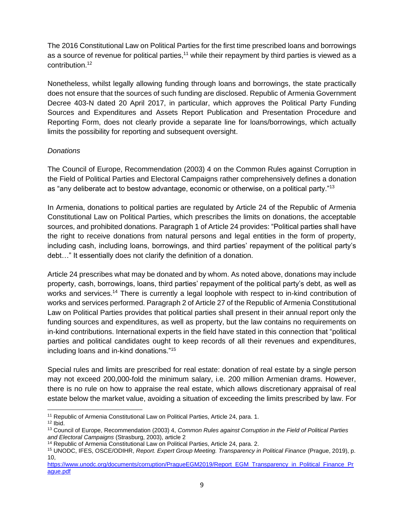The 2016 Constitutional Law on Political Parties for the first time prescribed loans and borrowings as a source of revenue for political parties,<sup>11</sup> while their repayment by third parties is viewed as a contribution.<sup>12</sup>

Nonetheless, whilst legally allowing funding through loans and borrowings, the state practically does not ensure that the sources of such funding are disclosed. Republic of Armenia Government Decree 403-N dated 20 April 2017, in particular, which approves the Political Party Funding Sources and Expenditures and Assets Report Publication and Presentation Procedure and Reporting Form, does not clearly provide a separate line for loans/borrowings, which actually limits the possibility for reporting and subsequent oversight.

## *Donations*

The Council of Europe, Recommendation (2003) 4 on the Common Rules against Corruption in the Field of Political Parties and Electoral Campaigns rather comprehensively defines a donation as "any deliberate act to bestow advantage, economic or otherwise, on a political party."<sup>13</sup>

In Armenia, donations to political parties are regulated by Article 24 of the Republic of Armenia Constitutional Law on Political Parties, which prescribes the limits on donations, the acceptable sources, and prohibited donations. Paragraph 1 of Article 24 provides: "Political parties shall have the right to receive donations from natural persons and legal entities in the form of property, including cash, including loans, borrowings, and third parties' repayment of the political party's debt…" It essentially does not clarify the definition of a donation.

Article 24 prescribes what may be donated and by whom. As noted above, donations may include property, cash, borrowings, loans, third parties' repayment of the political party's debt, as well as works and services.<sup>14</sup> There is currently a legal loophole with respect to in-kind contribution of works and services performed. Paragraph 2 of Article 27 of the Republic of Armenia Constitutional Law on Political Parties provides that political parties shall present in their annual report only the funding sources and expenditures, as well as property, but the law contains no requirements on in-kind contributions. International experts in the field have stated in this connection that "political parties and political candidates ought to keep records of all their revenues and expenditures, including loans and in-kind donations."<sup>15</sup>

Special rules and limits are prescribed for real estate: donation of real estate by a single person may not exceed 200,000-fold the minimum salary, i.e. 200 million Armenian drams. However, there is no rule on how to appraise the real estate, which allows discretionary appraisal of real estate below the market value, avoiding a situation of exceeding the limits prescribed by law. For

<sup>&</sup>lt;sup>11</sup> Republic of Armenia Constitutional Law on Political Parties, Article 24, para. 1.

 $12$  Ibid.

<sup>13</sup> Council of Europe, Recommendation (2003) 4, *Common Rules against Corruption in the Field of Political Parties and Electoral Campaigns* (Strasburg, 2003), article 2

<sup>14</sup> Republic of Armenia Constitutional Law on Political Parties, Article 24, para. 2.

<sup>15</sup> UNODC, IFES, OSCE/ODIHR, *Report. Expert Group Meeting. Transparency in Political Finance* (Prague, 2019), p. 10,

[https://www.unodc.org/documents/corruption/PragueEGM2019/Report\\_EGM\\_Transparency\\_in\\_Political\\_Finance\\_Pr](https://www.unodc.org/documents/corruption/PragueEGM2019/Report_EGM_Transparency_in_Political_Finance_Prague.pdf) [ague.pdf](https://www.unodc.org/documents/corruption/PragueEGM2019/Report_EGM_Transparency_in_Political_Finance_Prague.pdf)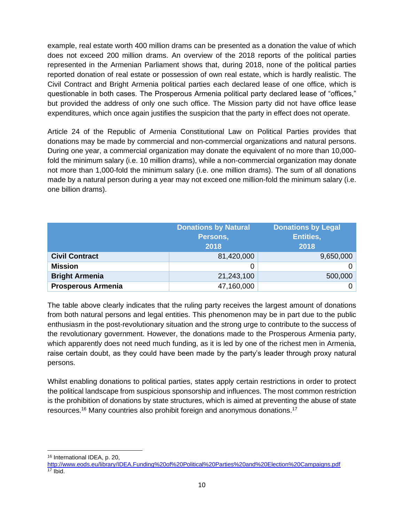example, real estate worth 400 million drams can be presented as a donation the value of which does not exceed 200 million drams. An overview of the 2018 reports of the political parties represented in the Armenian Parliament shows that, during 2018, none of the political parties reported donation of real estate or possession of own real estate, which is hardly realistic. The Civil Contract and Bright Armenia political parties each declared lease of one office, which is questionable in both cases. The Prosperous Armenia political party declared lease of "offices," but provided the address of only one such office. The Mission party did not have office lease expenditures, which once again justifies the suspicion that the party in effect does not operate.

Article 24 of the Republic of Armenia Constitutional Law on Political Parties provides that donations may be made by commercial and non-commercial organizations and natural persons. During one year, a commercial organization may donate the equivalent of no more than 10,000 fold the minimum salary (i.e. 10 million drams), while a non-commercial organization may donate not more than 1,000-fold the minimum salary (i.e. one million drams). The sum of all donations made by a natural person during a year may not exceed one million-fold the minimum salary (i.e. one billion drams).

|                           | <b>Donations by Natural</b><br><b>Donations by Legal</b><br><b>Entities,</b><br>Persons,<br>2018<br>2018 |           |
|---------------------------|----------------------------------------------------------------------------------------------------------|-----------|
| <b>Civil Contract</b>     | 81,420,000                                                                                               | 9,650,000 |
| <b>Mission</b>            |                                                                                                          |           |
| <b>Bright Armenia</b>     | 21,243,100                                                                                               | 500,000   |
| <b>Prosperous Armenia</b> | 47,160,000                                                                                               |           |

The table above clearly indicates that the ruling party receives the largest amount of donations from both natural persons and legal entities. This phenomenon may be in part due to the public enthusiasm in the post-revolutionary situation and the strong urge to contribute to the success of the revolutionary government. However, the donations made to the Prosperous Armenia party, which apparently does not need much funding, as it is led by one of the richest men in Armenia, raise certain doubt, as they could have been made by the party's leader through proxy natural persons.

Whilst enabling donations to political parties, states apply certain restrictions in order to protect the political landscape from suspicious sponsorship and influences. The most common restriction is the prohibition of donations by state structures, which is aimed at preventing the abuse of state resources.<sup>16</sup> Many countries also prohibit foreign and anonymous donations.<sup>17</sup>

<sup>16</sup> International IDEA, p. 20,

<http://www.eods.eu/library/IDEA.Funding%20of%20Political%20Parties%20and%20Election%20Campaigns.pdf>  $\frac{17}{17}$  Ibid.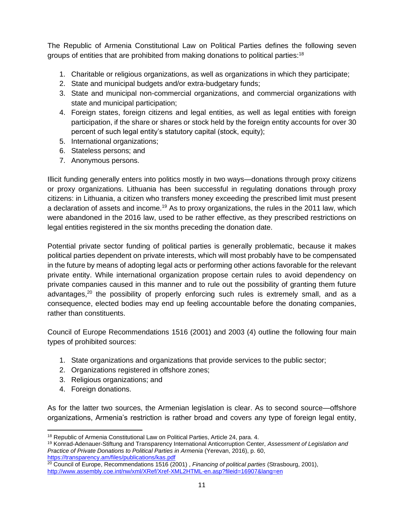The Republic of Armenia Constitutional Law on Political Parties defines the following seven groups of entities that are prohibited from making donations to political parties:<sup>18</sup>

- 1. Charitable or religious organizations, as well as organizations in which they participate;
- 2. State and municipal budgets and/or extra-budgetary funds;
- 3. State and municipal non-commercial organizations, and commercial organizations with state and municipal participation;
- 4. Foreign states, foreign citizens and legal entities, as well as legal entities with foreign participation, if the share or shares or stock held by the foreign entity accounts for over 30 percent of such legal entity's statutory capital (stock, equity);
- 5. International organizations;
- 6. Stateless persons; and
- 7. Anonymous persons.

Illicit funding generally enters into politics mostly in two ways—donations through proxy citizens or proxy organizations. Lithuania has been successful in regulating donations through proxy citizens: in Lithuania, a citizen who transfers money exceeding the prescribed limit must present a declaration of assets and income.<sup>19</sup> As to proxy organizations, the rules in the 2011 law, which were abandoned in the 2016 law, used to be rather effective, as they prescribed restrictions on legal entities registered in the six months preceding the donation date.

Potential private sector funding of political parties is generally problematic, because it makes political parties dependent on private interests, which will most probably have to be compensated in the future by means of adopting legal acts or performing other actions favorable for the relevant private entity. While international organization propose certain rules to avoid dependency on private companies caused in this manner and to rule out the possibility of granting them future advantages, $20$  the possibility of properly enforcing such rules is extremely small, and as a consequence, elected bodies may end up feeling accountable before the donating companies, rather than constituents.

Council of Europe Recommendations 1516 (2001) and 2003 (4) outline the following four main types of prohibited sources:

- 1. State organizations and organizations that provide services to the public sector;
- 2. Organizations registered in offshore zones;
- 3. Religious organizations; and
- 4. Foreign donations.

As for the latter two sources, the Armenian legislation is clear. As to second source—offshore organizations, Armenia's restriction is rather broad and covers any type of foreign legal entity,

<sup>&</sup>lt;sup>18</sup> Republic of Armenia Constitutional Law on Political Parties, Article 24, para. 4.

<sup>19</sup> Konrad-Adenauer-Stiftung and Transparency International Anticorruption Center, *Assessment of Legislation and Practice of Private Donations to Political Parties in Armenia (Yerevan, 2016), p. 60,* <https://transparency.am/files/publications/kas.pdf>

<sup>20</sup> Council of Europe, Recommendations 1516 (2001) , *Financing of political parties* (Strasbourg, 2001), <http://www.assembly.coe.int/nw/xml/XRef/Xref-XML2HTML-en.asp?fileid=16907&lang=en>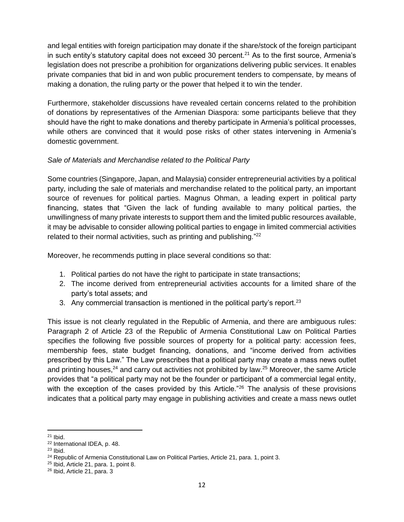and legal entities with foreign participation may donate if the share/stock of the foreign participant in such entity's statutory capital does not exceed 30 percent.<sup>21</sup> As to the first source, Armenia's legislation does not prescribe a prohibition for organizations delivering public services. It enables private companies that bid in and won public procurement tenders to compensate, by means of making a donation, the ruling party or the power that helped it to win the tender.

Furthermore, stakeholder discussions have revealed certain concerns related to the prohibition of donations by representatives of the Armenian Diaspora: some participants believe that they should have the right to make donations and thereby participate in Armenia's political processes, while others are convinced that it would pose risks of other states intervening in Armenia's domestic government.

## *Sale of Materials and Merchandise related to the Political Party*

Some countries (Singapore, Japan, and Malaysia) consider entrepreneurial activities by a political party, including the sale of materials and merchandise related to the political party, an important source of revenues for political parties. Magnus Ohman, a leading expert in political party financing, states that "Given the lack of funding available to many political parties, the unwillingness of many private interests to support them and the limited public resources available, it may be advisable to consider allowing political parties to engage in limited commercial activities related to their normal activities, such as printing and publishing."<sup>22</sup>

Moreover, he recommends putting in place several conditions so that:

- 1. Political parties do not have the right to participate in state transactions;
- 2. The income derived from entrepreneurial activities accounts for a limited share of the party's total assets; and
- 3. Any commercial transaction is mentioned in the political party's report.<sup>23</sup>

This issue is not clearly regulated in the Republic of Armenia, and there are ambiguous rules: Paragraph 2 of Article 23 of the Republic of Armenia Constitutional Law on Political Parties specifies the following five possible sources of property for a political party: accession fees, membership fees, state budget financing, donations, and "income derived from activities prescribed by this Law." The Law prescribes that a political party may create a mass news outlet and printing houses, $24$  and carry out activities not prohibited by law. $25$  Moreover, the same Article provides that "a political party may not be the founder or participant of a commercial legal entity, with the exception of the cases provided by this Article.<sup>"26</sup> The analysis of these provisions indicates that a political party may engage in publishing activities and create a mass news outlet

 $21$  Ibid.

<sup>22</sup> International IDEA, p. 48.

 $23$  Ibid.

<sup>&</sup>lt;sup>24</sup> Republic of Armenia Constitutional Law on Political Parties, Article 21, para. 1, point 3.

<sup>25</sup> Ibid, Article 21, para. 1, point 8.

<sup>26</sup> Ibid, Article 21, para. 3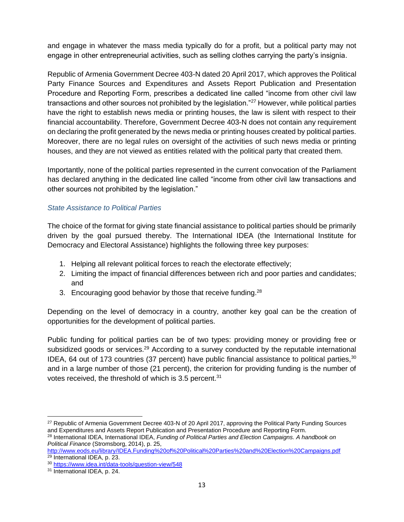and engage in whatever the mass media typically do for a profit, but a political party may not engage in other entrepreneurial activities, such as selling clothes carrying the party's insignia.

Republic of Armenia Government Decree 403-N dated 20 April 2017, which approves the Political Party Finance Sources and Expenditures and Assets Report Publication and Presentation Procedure and Reporting Form, prescribes a dedicated line called "income from other civil law transactions and other sources not prohibited by the legislation."<sup>27</sup> However, while political parties have the right to establish news media or printing houses, the law is silent with respect to their financial accountability. Therefore, Government Decree 403-N does not contain any requirement on declaring the profit generated by the news media or printing houses created by political parties. Moreover, there are no legal rules on oversight of the activities of such news media or printing houses, and they are not viewed as entities related with the political party that created them.

Importantly, none of the political parties represented in the current convocation of the Parliament has declared anything in the dedicated line called "income from other civil law transactions and other sources not prohibited by the legislation."

#### <span id="page-12-0"></span>*State Assistance to Political Parties*

The choice of the format for giving state financial assistance to political parties should be primarily driven by the goal pursued thereby. The International IDEA (the International Institute for Democracy and Electoral Assistance) highlights the following three key purposes:

- 1. Helping all relevant political forces to reach the electorate effectively;
- 2. Limiting the impact of financial differences between rich and poor parties and candidates; and
- 3. Encouraging good behavior by those that receive funding.  $28$

Depending on the level of democracy in a country, another key goal can be the creation of opportunities for the development of political parties.

Public funding for political parties can be of two types: providing money or providing free or subsidized goods or services.<sup>29</sup> According to a survey conducted by the reputable international IDEA, 64 out of 173 countries (37 percent) have public financial assistance to political parties,  $30$ and in a large number of those (21 percent), the criterion for providing funding is the number of votes received, the threshold of which is 3.5 percent.<sup>31</sup>

<sup>&</sup>lt;sup>27</sup> Republic of Armenia Government Decree 403-N of 20 April 2017, approving the Political Party Funding Sources and Expenditures and Assets Report Publication and Presentation Procedure and Reporting Form.

<sup>28</sup> International IDEA, International IDEA, *Funding of Political Parties and Election Campaigns. A handbook on Political Finance* (Stromsborg, 2014), p. 25,

<http://www.eods.eu/library/IDEA.Funding%20of%20Political%20Parties%20and%20Election%20Campaigns.pdf>  $29$  International IDEA, p. 23.

<sup>30</sup> <https://www.idea.int/data-tools/question-view/548>

<sup>31</sup> International IDEA, p. 24.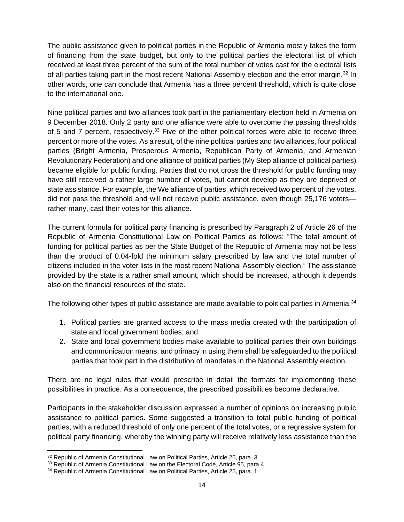The public assistance given to political parties in the Republic of Armenia mostly takes the form of financing from the state budget, but only to the political parties the electoral list of which received at least three percent of the sum of the total number of votes cast for the electoral lists of all parties taking part in the most recent National Assembly election and the error margin.<sup>32</sup> In other words, one can conclude that Armenia has a three percent threshold, which is quite close to the international one.

Nine political parties and two alliances took part in the parliamentary election held in Armenia on 9 December 2018. Only 2 party and one alliance were able to overcome the passing thresholds of 5 and 7 percent, respectively.<sup>33</sup> Five of the other political forces were able to receive three percent or more of the votes. As a result, of the nine political parties and two alliances, four political parties (Bright Armenia, Prosperous Armenia, Republican Party of Armenia, and Armenian Revolutionary Federation) and one alliance of political parties (My Step alliance of political parties) became eligible for public funding. Parties that do not cross the threshold for public funding may have still received a rather large number of votes, but cannot develop as they are deprived of state assistance. For example, the We alliance of parties, which received two percent of the votes, did not pass the threshold and will not receive public assistance, even though 25,176 voters rather many, cast their votes for this alliance.

The current formula for political party financing is prescribed by Paragraph 2 of Article 26 of the Republic of Armenia Constitutional Law on Political Parties as follows: "The total amount of funding for political parties as per the State Budget of the Republic of Armenia may not be less than the product of 0.04-fold the minimum salary prescribed by law and the total number of citizens included in the voter lists in the most recent National Assembly election." The assistance provided by the state is a rather small amount, which should be increased, although it depends also on the financial resources of the state.

The following other types of public assistance are made available to political parties in Armenia:<sup>34</sup>

- 1. Political parties are granted access to the mass media created with the participation of state and local government bodies; and
- 2. State and local government bodies make available to political parties their own buildings and communication means, and primacy in using them shall be safeguarded to the political parties that took part in the distribution of mandates in the National Assembly election.

There are no legal rules that would prescribe in detail the formats for implementing these possibilities in practice. As a consequence, the prescribed possibilities become declarative.

Participants in the stakeholder discussion expressed a number of opinions on increasing public assistance to political parties. Some suggested a transition to total public funding of political parties, with a reduced threshold of only one percent of the total votes, or a regressive system for political party financing, whereby the winning party will receive relatively less assistance than the

<sup>32</sup> Republic of Armenia Constitutional Law on Political Parties, Article 26, para. 3.

<sup>&</sup>lt;sup>33</sup> Republic of Armenia Constitutional Law on the Electoral Code, Article 95, para 4.

<sup>&</sup>lt;sup>34</sup> Republic of Armenia Constitutional Law on Political Parties, Article 25, para. 1.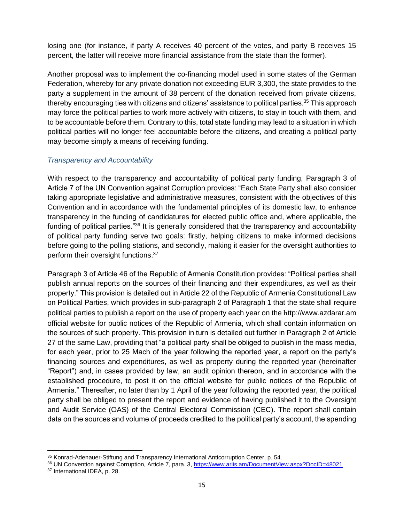losing one (for instance, if party A receives 40 percent of the votes, and party B receives 15 percent, the latter will receive more financial assistance from the state than the former).

Another proposal was to implement the co-financing model used in some states of the German Federation, whereby for any private donation not exceeding EUR 3,300, the state provides to the party a supplement in the amount of 38 percent of the donation received from private citizens, thereby encouraging ties with citizens and citizens' assistance to political parties.<sup>35</sup> This approach may force the political parties to work more actively with citizens, to stay in touch with them, and to be accountable before them. Contrary to this, total state funding may lead to a situation in which political parties will no longer feel accountable before the citizens, and creating a political party may become simply a means of receiving funding.

#### <span id="page-14-0"></span>*Transparency and Accountability*

With respect to the transparency and accountability of political party funding, Paragraph 3 of Article 7 of the UN Convention against Corruption provides: "Each State Party shall also consider taking appropriate legislative and administrative measures, consistent with the objectives of this Convention and in accordance with the fundamental principles of its domestic law, to enhance transparency in the funding of candidatures for elected public office and, where applicable, the funding of political parties."<sup>36</sup> It is generally considered that the transparency and accountability of political party funding serve two goals: firstly, helping citizens to make informed decisions before going to the polling stations, and secondly, making it easier for the oversight authorities to perform their oversight functions.<sup>37</sup>

Paragraph 3 of Article 46 of the Republic of Armenia Constitution provides: "Political parties shall publish annual reports on the sources of their financing and their expenditures, as well as their property." This provision is detailed out in Article 22 of the Republic of Armenia Constitutional Law on Political Parties, which provides in sub-paragraph 2 of Paragraph 1 that the state shall require political parties to publish a report on the use of property each year on the հttp://www.azdarar.am official website for public notices of the Republic of Armenia, which shall contain information on the sources of such property. This provision in turn is detailed out further in Paragraph 2 of Article 27 of the same Law, providing that "a political party shall be obliged to publish in the mass media, for each year, prior to 25 Mach of the year following the reported year, a report on the party's financing sources and expenditures, as well as property during the reported year (hereinafter "Report") and, in cases provided by law, an audit opinion thereon, and in accordance with the established procedure, to post it on the official website for public notices of the Republic of Armenia." Thereafter, no later than by 1 April of the year following the reported year, the political party shall be obliged to present the report and evidence of having published it to the Oversight and Audit Service (OAS) of the Central Electoral Commission (CEC). The report shall contain data on the sources and volume of proceeds credited to the political party's account, the spending

<sup>35</sup> Konrad-Adenauer-Stiftung and Transparency International Anticorruption Center, p. 54.

<sup>36</sup> UN Convention against Corruption, Article 7, para. 3,<https://www.arlis.am/DocumentView.aspx?DocID=48021>

<sup>37</sup> International IDEA, p. 28.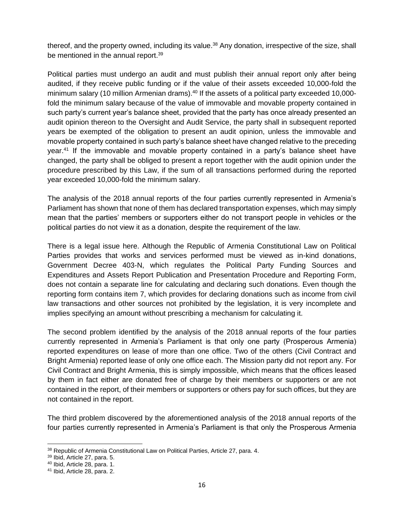thereof, and the property owned, including its value.<sup>38</sup> Any donation, irrespective of the size, shall be mentioned in the annual report.<sup>39</sup>

Political parties must undergo an audit and must publish their annual report only after being audited, if they receive public funding or if the value of their assets exceeded 10,000-fold the minimum salary (10 million Armenian drams).<sup>40</sup> If the assets of a political party exceeded 10,000fold the minimum salary because of the value of immovable and movable property contained in such party's current year's balance sheet, provided that the party has once already presented an audit opinion thereon to the Oversight and Audit Service, the party shall in subsequent reported years be exempted of the obligation to present an audit opinion, unless the immovable and movable property contained in such party's balance sheet have changed relative to the preceding year.<sup>41</sup> If the immovable and movable property contained in a party's balance sheet have changed, the party shall be obliged to present a report together with the audit opinion under the procedure prescribed by this Law, if the sum of all transactions performed during the reported year exceeded 10,000-fold the minimum salary.

The analysis of the 2018 annual reports of the four parties currently represented in Armenia's Parliament has shown that none of them has declared transportation expenses, which may simply mean that the parties' members or supporters either do not transport people in vehicles or the political parties do not view it as a donation, despite the requirement of the law.

There is a legal issue here. Although the Republic of Armenia Constitutional Law on Political Parties provides that works and services performed must be viewed as in-kind donations, Government Decree 403-N, which regulates the Political Party Funding Sources and Expenditures and Assets Report Publication and Presentation Procedure and Reporting Form, does not contain a separate line for calculating and declaring such donations. Even though the reporting form contains item 7, which provides for declaring donations such as income from civil law transactions and other sources not prohibited by the legislation, it is very incomplete and implies specifying an amount without prescribing a mechanism for calculating it.

The second problem identified by the analysis of the 2018 annual reports of the four parties currently represented in Armenia's Parliament is that only one party (Prosperous Armenia) reported expenditures on lease of more than one office. Two of the others (Civil Contract and Bright Armenia) reported lease of only one office each. The Mission party did not report any. For Civil Contract and Bright Armenia, this is simply impossible, which means that the offices leased by them in fact either are donated free of charge by their members or supporters or are not contained in the report, of their members or supporters or others pay for such offices, but they are not contained in the report.

The third problem discovered by the aforementioned analysis of the 2018 annual reports of the four parties currently represented in Armenia's Parliament is that only the Prosperous Armenia

<sup>38</sup> Republic of Armenia Constitutional Law on Political Parties, Article 27, para. 4.

<sup>39</sup> Ibid, Article 27, para. 5.

<sup>40</sup> Ibid, Article 28, para. 1.

<sup>41</sup> Ibid, Article 28, para. 2.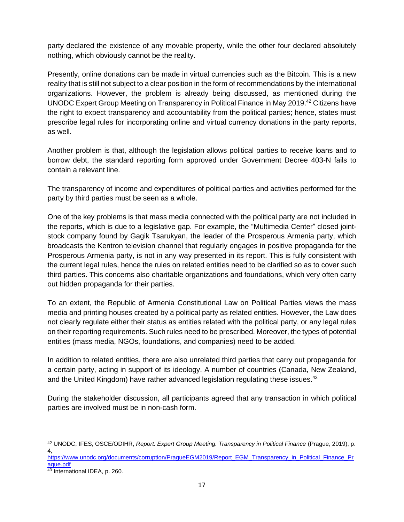party declared the existence of any movable property, while the other four declared absolutely nothing, which obviously cannot be the reality.

Presently, online donations can be made in virtual currencies such as the Bitcoin. This is a new reality that is still not subject to a clear position in the form of recommendations by the international organizations. However, the problem is already being discussed, as mentioned during the UNODC Expert Group Meeting on Transparency in Political Finance in May 2019.<sup>42</sup> Citizens have the right to expect transparency and accountability from the political parties; hence, states must prescribe legal rules for incorporating online and virtual currency donations in the party reports, as well.

Another problem is that, although the legislation allows political parties to receive loans and to borrow debt, the standard reporting form approved under Government Decree 403-N fails to contain a relevant line.

The transparency of income and expenditures of political parties and activities performed for the party by third parties must be seen as a whole.

One of the key problems is that mass media connected with the political party are not included in the reports, which is due to a legislative gap. For example, the "Multimedia Center" closed jointstock company found by Gagik Tsarukyan, the leader of the Prosperous Armenia party, which broadcasts the Kentron television channel that regularly engages in positive propaganda for the Prosperous Armenia party, is not in any way presented in its report. This is fully consistent with the current legal rules, hence the rules on related entities need to be clarified so as to cover such third parties. This concerns also charitable organizations and foundations, which very often carry out hidden propaganda for their parties.

To an extent, the Republic of Armenia Constitutional Law on Political Parties views the mass media and printing houses created by a political party as related entities. However, the Law does not clearly regulate either their status as entities related with the political party, or any legal rules on their reporting requirements. Such rules need to be prescribed. Moreover, the types of potential entities (mass media, NGOs, foundations, and companies) need to be added.

In addition to related entities, there are also unrelated third parties that carry out propaganda for a certain party, acting in support of its ideology. A number of countries (Canada, New Zealand, and the United Kingdom) have rather advanced legislation regulating these issues.<sup>43</sup>

During the stakeholder discussion, all participants agreed that any transaction in which political parties are involved must be in non-cash form.

<sup>42</sup> UNODC, IFES, OSCE/ODIHR, *Report. Expert Group Meeting. Transparency in Political Finance* (Prague, 2019), p. 4,

[https://www.unodc.org/documents/corruption/PragueEGM2019/Report\\_EGM\\_Transparency\\_in\\_Political\\_Finance\\_Pr](https://www.unodc.org/documents/corruption/PragueEGM2019/Report_EGM_Transparency_in_Political_Finance_Prague.pdf) [ague.pdf](https://www.unodc.org/documents/corruption/PragueEGM2019/Report_EGM_Transparency_in_Political_Finance_Prague.pdf)

<sup>43</sup> International IDEA, p. 260.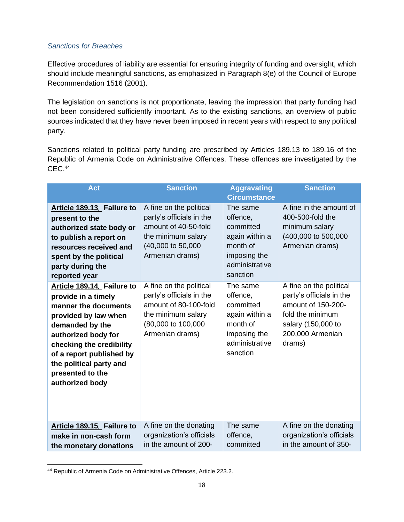#### <span id="page-17-0"></span>*Sanctions for Breaches*

Effective procedures of liability are essential for ensuring integrity of funding and oversight, which should include meaningful sanctions, as emphasized in Paragraph 8(e) of the Council of Europe Recommendation 1516 (2001).

The legislation on sanctions is not proportionate, leaving the impression that party funding had not been considered sufficiently important. As to the existing sanctions, an overview of public sources indicated that they have never been imposed in recent years with respect to any political party.

Sanctions related to political party funding are prescribed by Articles 189.13 to 189.16 of the Republic of Armenia Code on Administrative Offences. These offences are investigated by the CEC.<sup>44</sup>

| <b>Act</b>                                                                                                                                                                                                                                                            | <b>Sanction</b>                                                                                                                             | <b>Aggravating</b><br><b>Circumstance</b>                                                                     | <b>Sanction</b>                                                                                                                                   |
|-----------------------------------------------------------------------------------------------------------------------------------------------------------------------------------------------------------------------------------------------------------------------|---------------------------------------------------------------------------------------------------------------------------------------------|---------------------------------------------------------------------------------------------------------------|---------------------------------------------------------------------------------------------------------------------------------------------------|
| Article 189.13. Failure to<br>present to the<br>authorized state body or<br>to publish a report on<br>resources received and<br>spent by the political<br>party during the<br>reported year                                                                           | A fine on the political<br>party's officials in the<br>amount of 40-50-fold<br>the minimum salary<br>(40,000 to 50,000<br>Armenian drams)   | The same<br>offence,<br>committed<br>again within a<br>month of<br>imposing the<br>administrative<br>sanction | A fine in the amount of<br>400-500-fold the<br>minimum salary<br>(400,000 to 500,000<br>Armenian drams)                                           |
| Article 189.14. Failure to<br>provide in a timely<br>manner the documents<br>provided by law when<br>demanded by the<br>authorized body for<br>checking the credibility<br>of a report published by<br>the political party and<br>presented to the<br>authorized body | A fine on the political<br>party's officials in the<br>amount of 80-100-fold<br>the minimum salary<br>(80,000 to 100,000<br>Armenian drams) | The same<br>offence,<br>committed<br>again within a<br>month of<br>imposing the<br>administrative<br>sanction | A fine on the political<br>party's officials in the<br>amount of 150-200-<br>fold the minimum<br>salary (150,000 to<br>200,000 Armenian<br>drams) |
| Article 189.15. Failure to<br>make in non-cash form<br>the monetary donations                                                                                                                                                                                         | A fine on the donating<br>organization's officials<br>in the amount of 200-                                                                 | The same<br>offence,<br>committed                                                                             | A fine on the donating<br>organization's officials<br>in the amount of 350-                                                                       |

<sup>44</sup> Republic of Armenia Code on Administrative Offences, Article 223.2.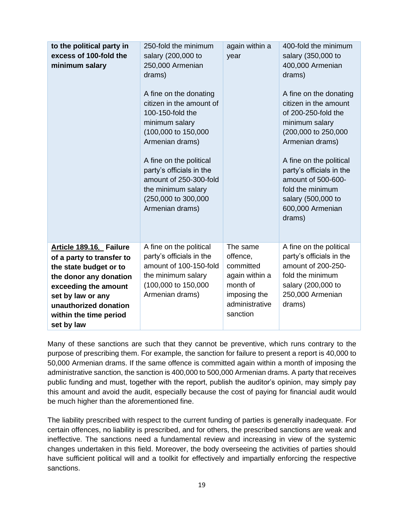| to the political party in<br>excess of 100-fold the<br>minimum salary                                                                                                                                                  | 250-fold the minimum<br>salary (200,000 to<br>250,000 Armenian<br>drams)<br>A fine on the donating<br>citizen in the amount of<br>100-150-fold the<br>minimum salary<br>(100,000 to 150,000<br>Armenian drams)<br>A fine on the political<br>party's officials in the<br>amount of 250-300-fold<br>the minimum salary<br>(250,000 to 300,000<br>Armenian drams) | again within a<br>year                                                                                        | 400-fold the minimum<br>salary (350,000 to<br>400,000 Armenian<br>drams)<br>A fine on the donating<br>citizen in the amount<br>of 200-250-fold the<br>minimum salary<br>(200,000 to 250,000<br>Armenian drams)<br>A fine on the political<br>party's officials in the<br>amount of 500-600-<br>fold the minimum<br>salary (500,000 to<br>600,000 Armenian<br>drams) |
|------------------------------------------------------------------------------------------------------------------------------------------------------------------------------------------------------------------------|-----------------------------------------------------------------------------------------------------------------------------------------------------------------------------------------------------------------------------------------------------------------------------------------------------------------------------------------------------------------|---------------------------------------------------------------------------------------------------------------|---------------------------------------------------------------------------------------------------------------------------------------------------------------------------------------------------------------------------------------------------------------------------------------------------------------------------------------------------------------------|
| Article 189.16. Failure<br>of a party to transfer to<br>the state budget or to<br>the donor any donation<br>exceeding the amount<br>set by law or any<br>unauthorized donation<br>within the time period<br>set by law | A fine on the political<br>party's officials in the<br>amount of 100-150-fold<br>the minimum salary<br>(100,000 to 150,000<br>Armenian drams)                                                                                                                                                                                                                   | The same<br>offence,<br>committed<br>again within a<br>month of<br>imposing the<br>administrative<br>sanction | A fine on the political<br>party's officials in the<br>amount of 200-250-<br>fold the minimum<br>salary (200,000 to<br>250,000 Armenian<br>drams)                                                                                                                                                                                                                   |

Many of these sanctions are such that they cannot be preventive, which runs contrary to the purpose of prescribing them. For example, the sanction for failure to present a report is 40,000 to 50,000 Armenian drams. If the same offence is committed again within a month of imposing the administrative sanction, the sanction is 400,000 to 500,000 Armenian drams. A party that receives public funding and must, together with the report, publish the auditor's opinion, may simply pay this amount and avoid the audit, especially because the cost of paying for financial audit would be much higher than the aforementioned fine.

The liability prescribed with respect to the current funding of parties is generally inadequate. For certain offences, no liability is prescribed, and for others, the prescribed sanctions are weak and ineffective. The sanctions need a fundamental review and increasing in view of the systemic changes undertaken in this field. Moreover, the body overseeing the activities of parties should have sufficient political will and a toolkit for effectively and impartially enforcing the respective sanctions.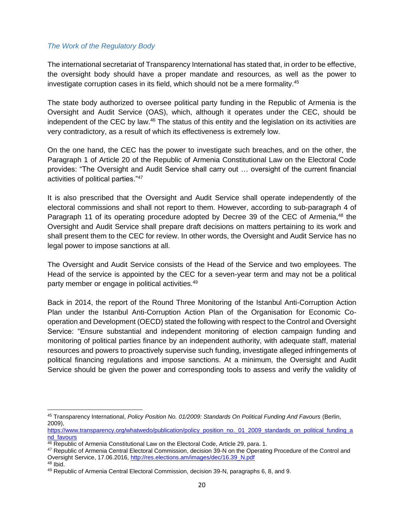#### *The Work of the Regulatory Body*

The international secretariat of Transparency International has stated that, in order to be effective, the oversight body should have a proper mandate and resources, as well as the power to investigate corruption cases in its field, which should not be a mere formality.<sup>45</sup>

The state body authorized to oversee political party funding in the Republic of Armenia is the Oversight and Audit Service (OAS), which, although it operates under the CEC, should be independent of the CEC by law.<sup>46</sup> The status of this entity and the legislation on its activities are very contradictory, as a result of which its effectiveness is extremely low.

On the one hand, the CEC has the power to investigate such breaches, and on the other, the Paragraph 1 of Article 20 of the Republic of Armenia Constitutional Law on the Electoral Code provides: "The Oversight and Audit Service shall carry out … oversight of the current financial activities of political parties."<sup>47</sup>

It is also prescribed that the Oversight and Audit Service shall operate independently of the electoral commissions and shall not report to them. However, according to sub-paragraph 4 of Paragraph 11 of its operating procedure adopted by Decree 39 of the CEC of Armenia,<sup>48</sup> the Oversight and Audit Service shall prepare draft decisions on matters pertaining to its work and shall present them to the CEC for review. In other words, the Oversight and Audit Service has no legal power to impose sanctions at all.

The Oversight and Audit Service consists of the Head of the Service and two employees. The Head of the service is appointed by the CEC for a seven-year term and may not be a political party member or engage in political activities.<sup>49</sup>

Back in 2014, the report of the Round Three Monitoring of the Istanbul Anti-Corruption Action Plan under the Istanbul Anti-Corruption Action Plan of the Organisation for Economic Cooperation and Development (OECD) stated the following with respect to the Control and Oversight Service: "Ensure substantial and independent monitoring of election campaign funding and monitoring of political parties finance by an independent authority, with adequate staff, material resources and powers to proactively supervise such funding, investigate alleged infringements of political financing regulations and impose sanctions. At a minimum, the Oversight and Audit Service should be given the power and corresponding tools to assess and verify the validity of

<sup>45</sup> Transparency International, *Policy Position No. 01/2009: Standards On Political Funding And Favours* (Berlin, 2009),

[https://www.transparency.org/whatwedo/publication/policy\\_position\\_no.\\_01\\_2009\\_standards\\_on\\_political\\_funding\\_a](https://www.transparency.org/whatwedo/publication/policy_position_no._01_2009_standards_on_political_funding_and_favours) [nd\\_favours](https://www.transparency.org/whatwedo/publication/policy_position_no._01_2009_standards_on_political_funding_and_favours)

<sup>46</sup> Republic of Armenia Constitutional Law on the Electoral Code, Article 29, para. 1.

<sup>47</sup> Republic of Armenia Central Electoral Commission, decision 39-N on the Operating Procedure of the Control and Oversight Service, 17.06.2016, [http://res.elections.am/images/dec/16.39\\_N.pdf](http://res.elections.am/images/dec/16.39_N.pdf)

 $48$  Ibid.

<sup>49</sup> Republic of Armenia Central Electoral Commission, decision 39-N, paragraphs 6, 8, and 9.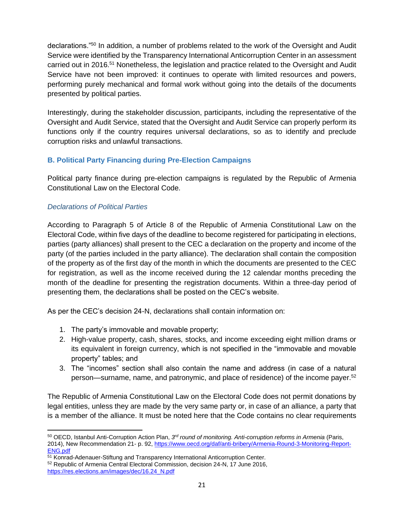declarations."<sup>50</sup> In addition, a number of problems related to the work of the Oversight and Audit Service were identified by the Transparency International Anticorruption Center in an assessment carried out in 2016.<sup>51</sup> Nonetheless, the legislation and practice related to the Oversight and Audit Service have not been improved: it continues to operate with limited resources and powers, performing purely mechanical and formal work without going into the details of the documents presented by political parties.

Interestingly, during the stakeholder discussion, participants, including the representative of the Oversight and Audit Service, stated that the Oversight and Audit Service can properly perform its functions only if the country requires universal declarations, so as to identify and preclude corruption risks and unlawful transactions.

## <span id="page-20-0"></span>**B. Political Party Financing during Pre-Election Campaigns**

Political party finance during pre-election campaigns is regulated by the Republic of Armenia Constitutional Law on the Electoral Code.

## <span id="page-20-1"></span>*Declarations of Political Parties*

According to Paragraph 5 of Article 8 of the Republic of Armenia Constitutional Law on the Electoral Code, within five days of the deadline to become registered for participating in elections, parties (party alliances) shall present to the CEC a declaration on the property and income of the party (of the parties included in the party alliance). The declaration shall contain the composition of the property as of the first day of the month in which the documents are presented to the CEC for registration, as well as the income received during the 12 calendar months preceding the month of the deadline for presenting the registration documents. Within a three-day period of presenting them, the declarations shall be posted on the CEC's website.

As per the CEC's decision 24-N, declarations shall contain information on:

- 1. The party's immovable and movable property;
- 2. High-value property, cash, shares, stocks, and income exceeding eight million drams or its equivalent in foreign currency, which is not specified in the "immovable and movable property" tables; and
- 3. The "incomes" section shall also contain the name and address (in case of a natural person—surname, name, and patronymic, and place of residence) of the income payer.<sup>52</sup>

The Republic of Armenia Constitutional Law on the Electoral Code does not permit donations by legal entities, unless they are made by the very same party or, in case of an alliance, a party that is a member of the alliance. It must be noted here that the Code contains no clear requirements

<sup>&</sup>lt;sup>50</sup> OECD, Istanbul Anti-Corruption Action Plan, 3<sup>rd</sup> round of monitoring. Anti-corruption reforms in Armenia (Paris, 2014), New Recommendation 21- p. 92, [https://www.oecd.org/daf/anti-bribery/Armenia-Round-3-Monitoring-Report-](https://www.oecd.org/daf/anti-bribery/Armenia-Round-3-Monitoring-Report-ENG.pdf)[ENG.pdf](https://www.oecd.org/daf/anti-bribery/Armenia-Round-3-Monitoring-Report-ENG.pdf)

<sup>51</sup> Konrad-Adenauer-Stiftung and Transparency International Anticorruption Center.

<sup>52</sup> Republic of Armenia Central Electoral Commission, decision 24-N, 17 June 2016, [https://res.elections.am/images/dec/16.24\\_N.pdf](https://res.elections.am/images/dec/16.24_N.pdf)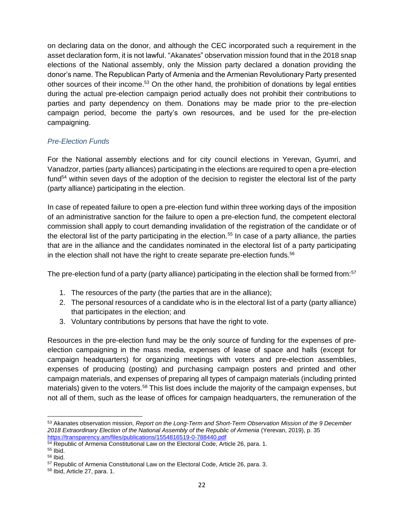on declaring data on the donor, and although the CEC incorporated such a requirement in the asset declaration form, it is not lawful. "Akanates" observation mission found that in the 2018 snap elections of the National assembly, only the Mission party declared a donation providing the donor's name. The Republican Party of Armenia and the Armenian Revolutionary Party presented other sources of their income.<sup>53</sup> On the other hand, the prohibition of donations by legal entities during the actual pre-election campaign period actually does not prohibit their contributions to parties and party dependency on them. Donations may be made prior to the pre-election campaign period, become the party's own resources, and be used for the pre-election campaigning.

## <span id="page-21-0"></span>*Pre-Election Funds*

For the National assembly elections and for city council elections in Yerevan, Gyumri, and Vanadzor, parties (party alliances) participating in the elections are required to open a pre-election fund<sup>54</sup> within seven days of the adoption of the decision to register the electoral list of the party (party alliance) participating in the election.

In case of repeated failure to open a pre-election fund within three working days of the imposition of an administrative sanction for the failure to open a pre-election fund, the competent electoral commission shall apply to court demanding invalidation of the registration of the candidate or of the electoral list of the party participating in the election.<sup>55</sup> In case of a party alliance, the parties that are in the alliance and the candidates nominated in the electoral list of a party participating in the election shall not have the right to create separate pre-election funds. $56$ 

The pre-election fund of a party (party alliance) participating in the election shall be formed from:<sup>57</sup>

- 1. The resources of the party (the parties that are in the alliance);
- 2. The personal resources of a candidate who is in the electoral list of a party (party alliance) that participates in the election; and
- 3. Voluntary contributions by persons that have the right to vote.

Resources in the pre-election fund may be the only source of funding for the expenses of preelection campaigning in the mass media, expenses of lease of space and halls (except for campaign headquarters) for organizing meetings with voters and pre-election assemblies, expenses of producing (posting) and purchasing campaign posters and printed and other campaign materials, and expenses of preparing all types of campaign materials (including printed materials) given to the voters.<sup>58</sup> This list does include the majority of the campaign expenses, but not all of them, such as the lease of offices for campaign headquarters, the remuneration of the

<sup>53</sup> Akanates observation mission, *Report on the Long-Term and Short-Term Observation Mission of the 9 December 2018 Extraordinary Election of the National Assembly of the Republic of Armenia* (Yerevan, 2019), p. 35 <https://transparency.am/files/publications/1554816519-0-788440.pdf>

<sup>54</sup> Republic of Armenia Constitutional Law on the Electoral Code, Article 26, para. 1.

 $55$  Ibid.

<sup>56</sup> Ibid.

<sup>57</sup> Republic of Armenia Constitutional Law on the Electoral Code, Article 26, para. 3.

<sup>58</sup> Ibid, Article 27, para. 1.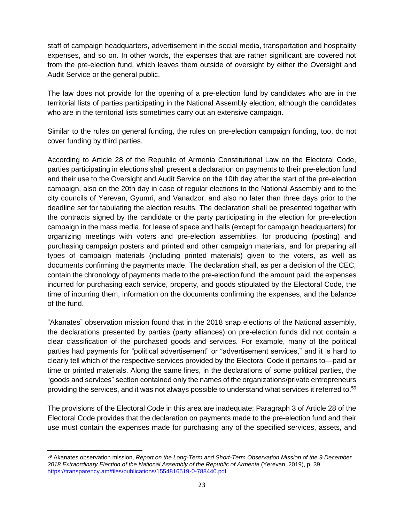staff of campaign headquarters, advertisement in the social media, transportation and hospitality expenses, and so on. In other words, the expenses that are rather significant are covered not from the pre-election fund, which leaves them outside of oversight by either the Oversight and Audit Service or the general public.

The law does not provide for the opening of a pre-election fund by candidates who are in the territorial lists of parties participating in the National Assembly election, although the candidates who are in the territorial lists sometimes carry out an extensive campaign.

Similar to the rules on general funding, the rules on pre-election campaign funding, too, do not cover funding by third parties.

According to Article 28 of the Republic of Armenia Constitutional Law on the Electoral Code, parties participating in elections shall present a declaration on payments to their pre-election fund and their use to the Oversight and Audit Service on the 10th day after the start of the pre-election campaign, also on the 20th day in case of regular elections to the National Assembly and to the city councils of Yerevan, Gyumri, and Vanadzor, and also no later than three days prior to the deadline set for tabulating the election results. The declaration shall be presented together with the contracts signed by the candidate or the party participating in the election for pre-election campaign in the mass media, for lease of space and halls (except for campaign headquarters) for organizing meetings with voters and pre-election assemblies, for producing (posting) and purchasing campaign posters and printed and other campaign materials, and for preparing all types of campaign materials (including printed materials) given to the voters, as well as documents confirming the payments made. The declaration shall, as per a decision of the CEC, contain the chronology of payments made to the pre-election fund, the amount paid, the expenses incurred for purchasing each service, property, and goods stipulated by the Electoral Code, the time of incurring them, information on the documents confirming the expenses, and the balance of the fund.

"Akanates" observation mission found that in the 2018 snap elections of the National assembly, the declarations presented by parties (party alliances) on pre-election funds did not contain a clear classification of the purchased goods and services. For example, many of the political parties had payments for "political advertisement" or "advertisement services," and it is hard to clearly tell which of the respective services provided by the Electoral Code it pertains to—paid air time or printed materials. Along the same lines, in the declarations of some political parties, the "goods and services" section contained only the names of the organizations/private entrepreneurs providing the services, and it was not always possible to understand what services it referred to.<sup>59</sup>

The provisions of the Electoral Code in this area are inadequate: Paragraph 3 of Article 28 of the Electoral Code provides that the declaration on payments made to the pre-election fund and their use must contain the expenses made for purchasing any of the specified services, assets, and

<sup>59</sup> Akanates observation mission, *Report on the Long-Term and Short-Term Observation Mission of the 9 December 2018 Extraordinary Election of the National Assembly of the Republic of Armenia* (Yerevan, 2019), p. 39 <https://transparency.am/files/publications/1554816519-0-788440.pdf>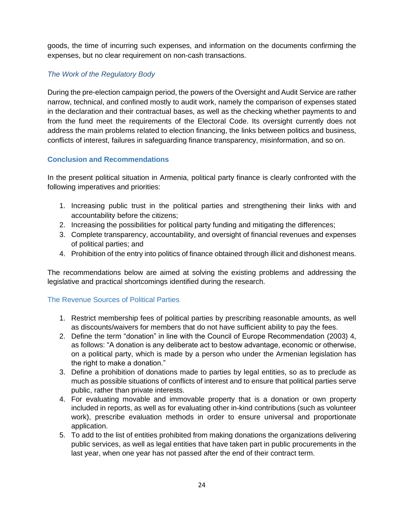goods, the time of incurring such expenses, and information on the documents confirming the expenses, but no clear requirement on non-cash transactions.

## <span id="page-23-0"></span>*The Work of the Regulatory Body*

During the pre-election campaign period, the powers of the Oversight and Audit Service are rather narrow, technical, and confined mostly to audit work, namely the comparison of expenses stated in the declaration and their contractual bases, as well as the checking whether payments to and from the fund meet the requirements of the Electoral Code. Its oversight currently does not address the main problems related to election financing, the links between politics and business, conflicts of interest, failures in safeguarding finance transparency, misinformation, and so on.

## <span id="page-23-1"></span>**Conclusion and Recommendations**

In the present political situation in Armenia, political party finance is clearly confronted with the following imperatives and priorities:

- 1. Increasing public trust in the political parties and strengthening their links with and accountability before the citizens;
- 2. Increasing the possibilities for political party funding and mitigating the differences;
- 3. Complete transparency, accountability, and oversight of financial revenues and expenses of political parties; and
- 4. Prohibition of the entry into politics of finance obtained through illicit and dishonest means.

The recommendations below are aimed at solving the existing problems and addressing the legislative and practical shortcomings identified during the research.

## <span id="page-23-2"></span>The Revenue Sources of Political Parties

- 1. Restrict membership fees of political parties by prescribing reasonable amounts, as well as discounts/waivers for members that do not have sufficient ability to pay the fees.
- 2. Define the term "donation" in line with the Council of Europe Recommendation (2003) 4, as follows: "A donation is any deliberate act to bestow advantage, economic or otherwise, on a political party, which is made by a person who under the Armenian legislation has the right to make a donation."
- 3. Define a prohibition of donations made to parties by legal entities, so as to preclude as much as possible situations of conflicts of interest and to ensure that political parties serve public, rather than private interests.
- 4. For evaluating movable and immovable property that is a donation or own property included in reports, as well as for evaluating other in-kind contributions (such as volunteer work), prescribe evaluation methods in order to ensure universal and proportionate application.
- 5. To add to the list of entities prohibited from making donations the organizations delivering public services, as well as legal entities that have taken part in public procurements in the last year, when one year has not passed after the end of their contract term.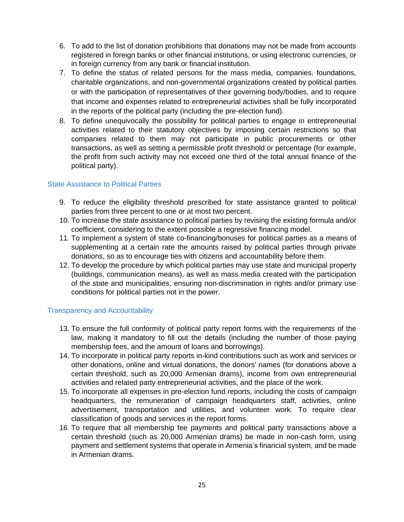- 6. To add to the list of donation prohibitions that donations may not be made from accounts registered in foreign banks or other financial institutions, or using electronic currencies, or in foreign currency from any bank or financial institution.
- 7. To define the status of related persons for the mass media, companies, foundations, charitable organizations, and non-governmental organizations created by political parties or with the participation of representatives of their governing body/bodies, and to require that income and expenses related to entrepreneurial activities shall be fully incorporated in the reports of the political party (including the pre-election fund).
- 8. To define unequivocally the possibility for political parties to engage in entrepreneurial activities related to their statutory objectives by imposing certain restrictions so that companies related to them may not participate in public procurements or other transactions, as well as setting a permissible profit threshold or percentage (for example, the profit from such activity may not exceed one third of the total annual finance of the political party).

#### <span id="page-24-0"></span>State Assistance to Political Parties

- 9. To reduce the eligibility threshold prescribed for state assistance granted to political parties from three percent to one or at most two percent.
- 10. To increase the state assistance to political parties by revising the existing formula and/or coefficient, considering to the extent possible a regressive financing model.
- 11. To implement a system of state co-financing/bonuses for political parties as a means of supplementing at a certain rate the amounts raised by political parties through private donations, so as to encourage ties with citizens and accountability before them.
- 12. To develop the procedure by which political parties may use state and municipal property (buildings, communication means), as well as mass media created with the participation of the state and municipalities, ensuring non-discrimination in rights and/or primary use conditions for political parties not in the power.

#### <span id="page-24-1"></span>Transparency and Accountability

- 13. To ensure the full conformity of political party report forms with the requirements of the law, making it mandatory to fill out the details (including the number of those paying membership fees, and the amount of loans and borrowings).
- 14. To incorporate in political party reports in-kind contributions such as work and services or other donations, online and virtual donations, the donors' names (for donations above a certain threshold, such as 20,000 Armenian drams), income from own entrepreneurial activities and related party entrepreneurial activities, and the place of the work.
- 15. To incorporate all expenses in pre-election fund reports, including the costs of campaign headquarters, the remuneration of campaign headquarters staff, activities, online advertisement, transportation and utilities, and volunteer work. To require clear classification of goods and services in the report forms.
- 16. To require that all membership fee payments and political party transactions above a certain threshold (such as 20,000 Armenian drams) be made in non-cash form, using payment and settlement systems that operate in Armenia's financial system, and be made in Armenian drams.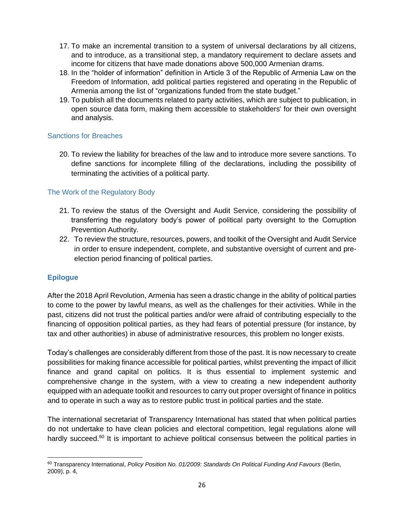- 17. To make an incremental transition to a system of universal declarations by all citizens, and to introduce, as a transitional step, a mandatory requirement to declare assets and income for citizens that have made donations above 500,000 Armenian drams.
- 18. In the "holder of information" definition in Article 3 of the Republic of Armenia Law on the Freedom of Information, add political parties registered and operating in the Republic of Armenia among the list of "organizations funded from the state budget."
- 19. To publish all the documents related to party activities, which are subject to publication, in open source data form, making them accessible to stakeholders' for their own oversight and analysis.

## <span id="page-25-0"></span>Sanctions for Breaches

20. To review the liability for breaches of the law and to introduce more severe sanctions. To define sanctions for incomplete filling of the declarations, including the possibility of terminating the activities of a political party.

# <span id="page-25-1"></span>The Work of the Regulatory Body

- 21. To review the status of the Oversight and Audit Service, considering the possibility of transferring the regulatory body's power of political party oversight to the Corruption Prevention Authority.
- 22. To review the structure, resources, powers, and toolkit of the Oversight and Audit Service in order to ensure independent, complete, and substantive oversight of current and preelection period financing of political parties.

# <span id="page-25-2"></span>**Epilogue**

After the 2018 April Revolution, Armenia has seen a drastic change in the ability of political parties to come to the power by lawful means, as well as the challenges for their activities. While in the past, citizens did not trust the political parties and/or were afraid of contributing especially to the financing of opposition political parties, as they had fears of potential pressure (for instance, by tax and other authorities) in abuse of administrative resources, this problem no longer exists.

Today's challenges are considerably different from those of the past. It is now necessary to create possibilities for making finance accessible for political parties, whilst preventing the impact of illicit finance and grand capital on politics. It is thus essential to implement systemic and comprehensive change in the system, with a view to creating a new independent authority equipped with an adequate toolkit and resources to carry out proper oversight of finance in politics and to operate in such a way as to restore public trust in political parties and the state.

The international secretariat of Transparency International has stated that when political parties do not undertake to have clean policies and electoral competition, legal regulations alone will hardly succeed.<sup>60</sup> It is important to achieve political consensus between the political parties in

<sup>60</sup> Transparency International, *Policy Position No. 01/2009: Standards On Political Funding And Favours* (Berlin, 2009), p. 4,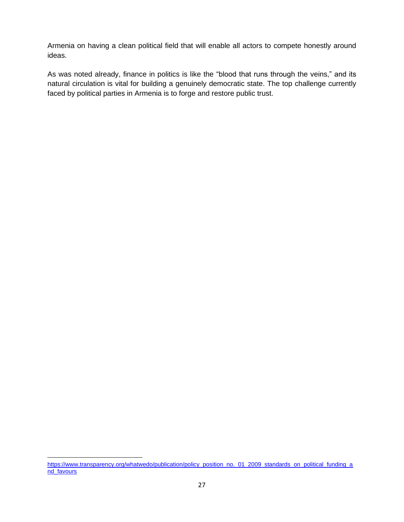Armenia on having a clean political field that will enable all actors to compete honestly around ideas.

As was noted already, finance in politics is like the "blood that runs through the veins," and its natural circulation is vital for building a genuinely democratic state. The top challenge currently faced by political parties in Armenia is to forge and restore public trust.

[https://www.transparency.org/whatwedo/publication/policy\\_position\\_no.\\_01\\_2009\\_standards\\_on\\_political\\_funding\\_a](https://www.transparency.org/whatwedo/publication/policy_position_no._01_2009_standards_on_political_funding_and_favours) [nd\\_favours](https://www.transparency.org/whatwedo/publication/policy_position_no._01_2009_standards_on_political_funding_and_favours)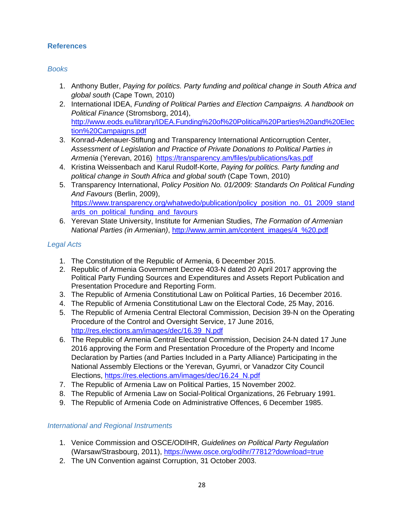## <span id="page-27-0"></span>**References**

#### *Books*

- 1. Anthony Butler, *Paying for politics. Party funding and political change in South Africa and global south* (Cape Town, 2010)
- 2. International IDEA, *Funding of Political Parties and Election Campaigns. A handbook on Political Finance* (Stromsborg, 2014), [http://www.eods.eu/library/IDEA.Funding%20of%20Political%20Parties%20and%20Elec](http://www.eods.eu/library/IDEA.Funding%20of%20Political%20Parties%20and%20Election%20Campaigns.pdf) [tion%20Campaigns.pdf](http://www.eods.eu/library/IDEA.Funding%20of%20Political%20Parties%20and%20Election%20Campaigns.pdf)
- 3. Konrad-Adenauer-Stiftung and Transparency International Anticorruption Center, *Assessment of Legislation and Practice of Private Donations to Political Parties in Armenia* (Yerevan, 2016) <https://transparency.am/files/publications/kas.pdf>
- 4. Kristina Weissenbach and Karul Rudolf-Korte, *Paying for politics. Party funding and political change in South Africa and global south* (Cape Town, 2010)
- 5. Transparency International, *Policy Position No. 01/2009: Standards On Political Funding And Favours* (Berlin, 2009), [https://www.transparency.org/whatwedo/publication/policy\\_position\\_no.\\_01\\_2009\\_stand](https://www.transparency.org/whatwedo/publication/policy_position_no._01_2009_standards_on_political_funding_and_favours) [ards\\_on\\_political\\_funding\\_and\\_favours](https://www.transparency.org/whatwedo/publication/policy_position_no._01_2009_standards_on_political_funding_and_favours)
- 6. Yerevan State University, Institute for Armenian Studies, *The Formation of Armenian National Parties (in Armenian)*, [http://www.armin.am/content\\_images/4\\_%20.pdf](http://www.armin.am/content_images/4_%20.pdf)

## *Legal Acts*

- 1. The Constitution of the Republic of Armenia, 6 December 2015.
- 2. Republic of Armenia Government Decree 403-N dated 20 April 2017 approving the Political Party Funding Sources and Expenditures and Assets Report Publication and Presentation Procedure and Reporting Form.
- 3. The Republic of Armenia Constitutional Law on Political Parties, 16 December 2016.
- 4. The Republic of Armenia Constitutional Law on the Electoral Code, 25 May, 2016.
- 5. The Republic of Armenia Central Electoral Commission, Decision 39-N on the Operating Procedure of the Control and Oversight Service, 17 June 2016, [http://res.elections.am/images/dec/16.39\\_N.pdf](http://res.elections.am/images/dec/16.39_N.pdf)
- 6. The Republic of Armenia Central Electoral Commission, Decision 24-N dated 17 June 2016 approving the Form and Presentation Procedure of the Property and Income Declaration by Parties (and Parties Included in a Party Alliance) Participating in the National Assembly Elections or the Yerevan, Gyumri, or Vanadzor City Council Elections, [https://res.elections.am/images/dec/16.24\\_N.pdf](https://res.elections.am/images/dec/16.24_N.pdf)
- 7. The Republic of Armenia Law on Political Parties, 15 November 2002.
- 8. The Republic of Armenia Law on Social-Political Organizations, 26 February 1991.
- 9. The Republic of Armenia Code on Administrative Offences, 6 December 1985.

## *International and Regional Instruments*

- 1. Venice Commission and OSCE/ODIHR, *Guidelines on Political Party Regulation* (Warsaw/Strasbourg, 2011),<https://www.osce.org/odihr/77812?download=true>
- 2. The UN Convention against Corruption, 31 October 2003.